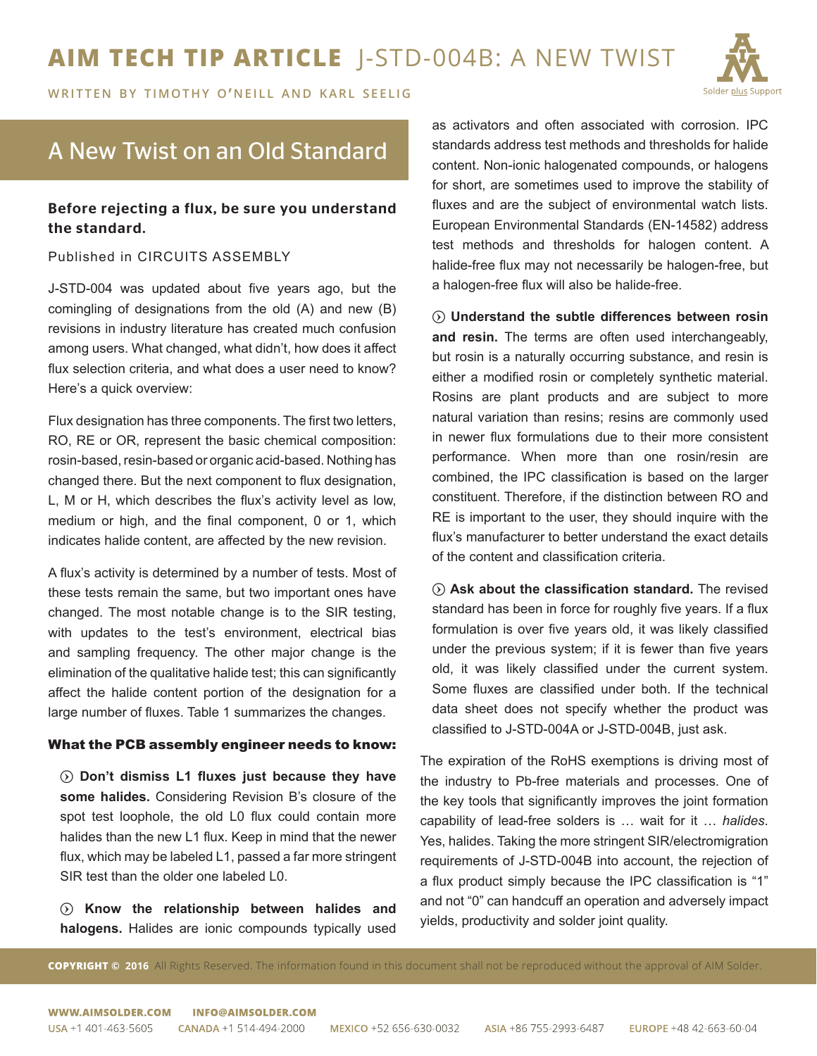

WRITTEN BY TIMOTHY O'NEILL AND KARL SEELIG

# A New Twist on an Old Standard

## Before rejecting a flux, be sure you understand the standard.

### Published in CIRCUITS ASSEMBLY

J-STD-004 was updated about five years ago, but the comingling of designations from the old (A) and new (B) revisions in industry literature has created much confusion among users. What changed, what didn't, how does it affect flux selection criteria, and what does a user need to know? Here's a quick overview:

Flux designation has three components. The first two letters, RO, RE or OR, represent the basic chemical composition: rosin-based, resin-based or organic acid-based. Nothing has changed there. But the next component to flux designation, L, M or H, which describes the flux's activity level as low, medium or high, and the final component, 0 or 1, which indicates halide content, are affected by the new revision.

A flux's activity is determined by a number of tests. Most of these tests remain the same, but two important ones have changed. The most notable change is to the SIR testing, with updates to the test's environment, electrical bias and sampling frequency. The other major change is the elimination of the qualitative halide test; this can significantly affect the halide content portion of the designation for a large number of fluxes. Table 1 summarizes the changes.

#### What the PCB assembly engineer needs to know:

 $\odot$  Don't dismiss L1 fluxes just because they have **some halides.** Considering Revision B's closure of the spot test loophole, the old L0 flux could contain more halides than the new L1 flux. Keep in mind that the newer flux, which may be labeled L1, passed a far more stringent SIR test than the older one labeled L0.

 $\odot$  Know the relationship between halides and **halogens.** Halides are ionic compounds typically used as activators and often associated with corrosion. IPC standards address test methods and thresholds for halide content. Non-ionic halogenated compounds, or halogens for short, are sometimes used to improve the stability of fluxes and are the subject of environmental watch lists. European Environmental Standards (EN-14582) address test methods and thresholds for halogen content. A halide-free flux may not necessarily be halogen-free, but a halogen-free flux will also be halide-free.

 $\odot$  Understand the subtle differences between rosin **and resin.** The terms are often used interchangeably, but rosin is a naturally occurring substance, and resin is either a modified rosin or completely synthetic material. Rosins are plant products and are subject to more natural variation than resins; resins are commonly used in newer flux formulations due to their more consistent performance. When more than one rosin/resin are combined, the IPC classification is based on the larger constituent. Therefore, if the distinction between RO and RE is important to the user, they should inquire with the flux's manufacturer to better understand the exact details of the content and classification criteria.

 $\odot$  Ask about the classification standard. The revised standard has been in force for roughly five years. If a flux formulation is over five years old, it was likely classified under the previous system; if it is fewer than five years old, it was likely classified under the current system. Some fluxes are classified under both. If the technical data sheet does not specify whether the product was classified to J-STD-004A or J-STD-004B, just ask.

The expiration of the RoHS exemptions is driving most of the industry to Pb-free materials and processes. One of the key tools that significantly improves the joint formation capability of lead-free solders is … wait for it … *halides*. Yes, halides. Taking the more stringent SIR/electromigration requirements of J-STD-004B into account, the rejection of a flux product simply because the IPC classification is "1" and not "0" can handcuff an operation and adversely impact yields, productivity and solder joint quality.

**COPYRIGHT © 2016** All Rights Reserved. The information found in this document shall not be reproduced without the approval of AIM Solder.

WWW AIMSOLDER COM **INFO@AIMSOLDER COM**